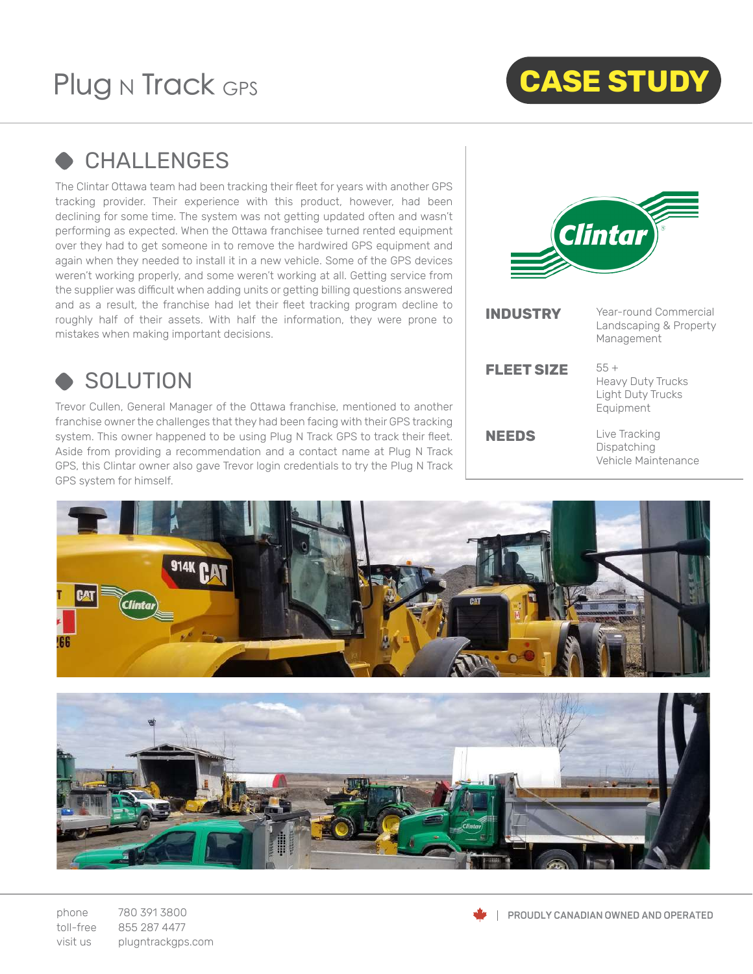# Plug N Track GPS



## **← CHALLENGES**

The Clintar Ottawa team had been tracking their fleet for years with another GPS tracking provider. Their experience with this product, however, had been declining for some time. The system was not getting updated often and wasn't performing as expected. When the Ottawa franchisee turned rented equipment over they had to get someone in to remove the hardwired GPS equipment and again when they needed to install it in a new vehicle. Some of the GPS devices weren't working properly, and some weren't working at all. Getting service from the supplier was difficult when adding units or getting billing questions answered and as a result, the franchise had let their fleet tracking program decline to roughly half of their assets. With half the information, they were prone to mistakes when making important decisions.



#### SOLUTION

Trevor Cullen, General Manager of the Ottawa franchise, mentioned to another franchise owner the challenges that they had been facing with their GPS tracking system. This owner happened to be using Plug N Track GPS to track their fleet. Aside from providing a recommendation and a contact name at Plug N Track GPS, this Clintar owner also gave Trevor login credentials to try the Plug N Track GPS system for himself.



| <b>INDUSTRY</b> | Year-round Commercial<br>Landscaping & Property<br>Management               |
|-----------------|-----------------------------------------------------------------------------|
| FLEET SIZE      | $55 +$<br><b>Heavy Duty Trucks</b><br><b>Light Duty Trucks</b><br>Equipment |
| <b>NEEDS</b>    | Live Tracking<br>Dispatching<br>Vehicle Maintenance                         |